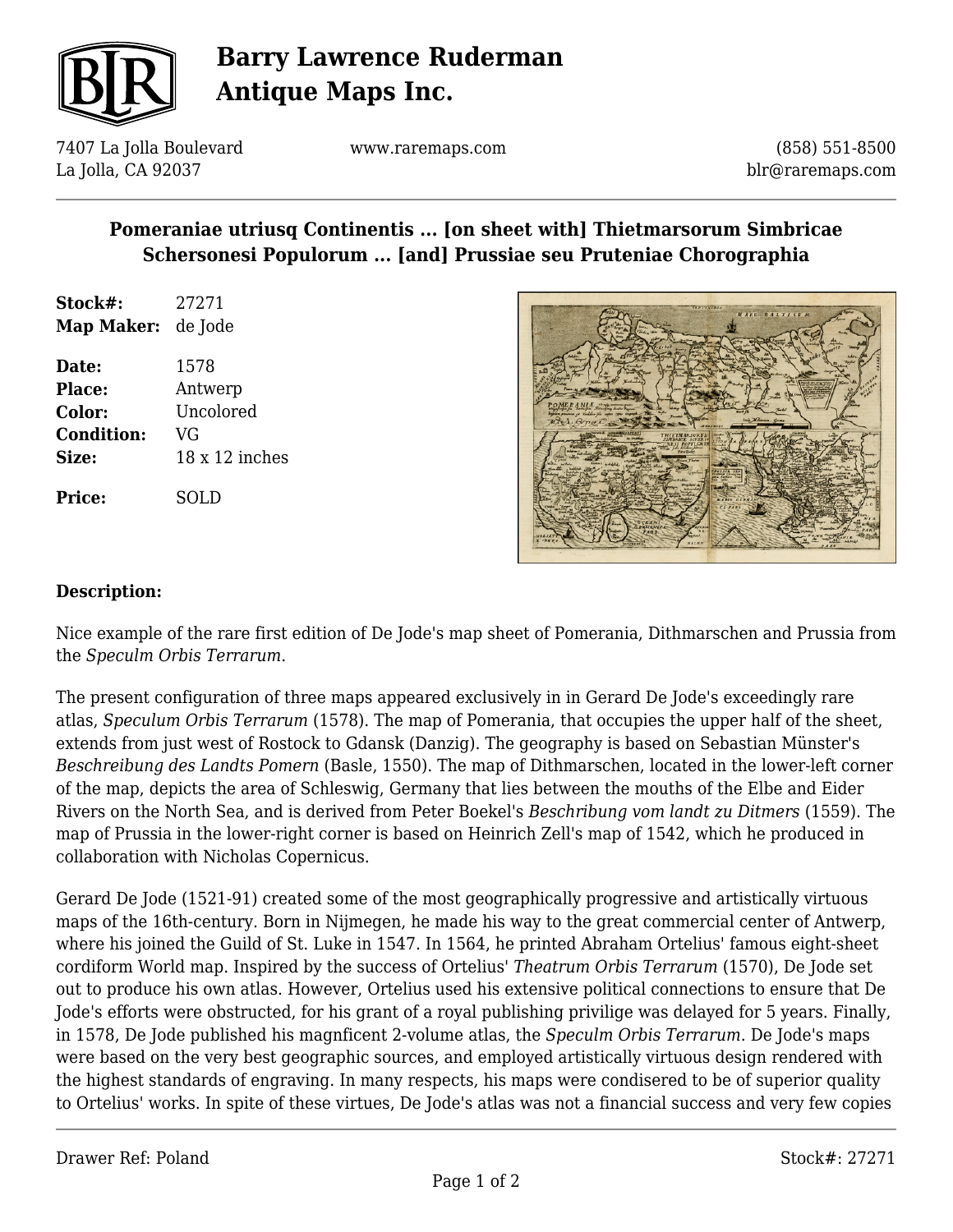

# **Barry Lawrence Ruderman Antique Maps Inc.**

7407 La Jolla Boulevard La Jolla, CA 92037

www.raremaps.com

(858) 551-8500 blr@raremaps.com

### **Pomeraniae utriusq Continentis ... [on sheet with] Thietmarsorum Simbricae Schersonesi Populorum ... [and] Prussiae seu Pruteniae Chorographia**

- **Stock#:** 27271 **Map Maker:** de Jode
- **Date:** 1578 **Place:** Antwerp **Color:** Uncolored **Condition:** VG **Size:** 18 x 12 inches **Price:** SOLD



#### **Description:**

Nice example of the rare first edition of De Jode's map sheet of Pomerania, Dithmarschen and Prussia from the *Speculm Orbis Terrarum*.

The present configuration of three maps appeared exclusively in in Gerard De Jode's exceedingly rare atlas, *Speculum Orbis Terrarum* (1578). The map of Pomerania, that occupies the upper half of the sheet, extends from just west of Rostock to Gdansk (Danzig). The geography is based on Sebastian Münster's *Beschreibung des Landts Pomern* (Basle, 1550). The map of Dithmarschen, located in the lower-left corner of the map, depicts the area of Schleswig, Germany that lies between the mouths of the Elbe and Eider Rivers on the North Sea, and is derived from Peter Boekel's *Beschribung vom landt zu Ditmers* (1559). The map of Prussia in the lower-right corner is based on Heinrich Zell's map of 1542, which he produced in collaboration with Nicholas Copernicus.

Gerard De Jode (1521-91) created some of the most geographically progressive and artistically virtuous maps of the 16th-century. Born in Nijmegen, he made his way to the great commercial center of Antwerp, where his joined the Guild of St. Luke in 1547. In 1564, he printed Abraham Ortelius' famous eight-sheet cordiform World map. Inspired by the success of Ortelius' *Theatrum Orbis Terrarum* (1570), De Jode set out to produce his own atlas. However, Ortelius used his extensive political connections to ensure that De Jode's efforts were obstructed, for his grant of a royal publishing privilige was delayed for 5 years. Finally, in 1578, De Jode published his magnficent 2-volume atlas, the *Speculm Orbis Terrarum*. De Jode's maps were based on the very best geographic sources, and employed artistically virtuous design rendered with the highest standards of engraving. In many respects, his maps were condisered to be of superior quality to Ortelius' works. In spite of these virtues, De Jode's atlas was not a financial success and very few copies